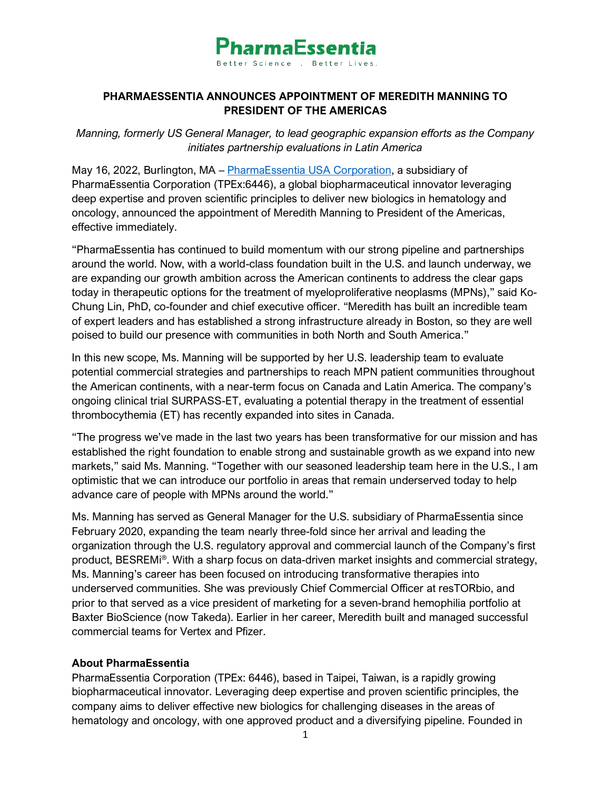

### **PHARMAESSENTIA ANNOUNCES APPOINTMENT OF MEREDITH MANNING TO PRESIDENT OF THE AMERICAS**

*Manning, formerly US General Manager, to lead geographic expansion efforts as the Company initiates partnership evaluations in Latin America*

May 16, 2022, Burlington, MA – [PharmaEssentia USA Corporation,](http://www.pharmaessentia.com/) a subsidiary of PharmaEssentia Corporation (TPEx:6446), a global biopharmaceutical innovator leveraging deep expertise and proven scientific principles to deliver new biologics in hematology and oncology, announced the appointment of Meredith Manning to President of the Americas, effective immediately.

"PharmaEssentia has continued to build momentum with our strong pipeline and partnerships around the world. Now, with a world-class foundation built in the U.S. and launch underway, we are expanding our growth ambition across the American continents to address the clear gaps today in therapeutic options for the treatment of myeloproliferative neoplasms (MPNs)," said Ko-Chung Lin, PhD, co-founder and chief executive officer. "Meredith has built an incredible team of expert leaders and has established a strong infrastructure already in Boston, so they are well poised to build our presence with communities in both North and South America."

In this new scope, Ms. Manning will be supported by her U.S. leadership team to evaluate potential commercial strategies and partnerships to reach MPN patient communities throughout the American continents, with a near-term focus on Canada and Latin America. The company's ongoing clinical trial SURPASS-ET, evaluating a potential therapy in the treatment of essential thrombocythemia (ET) has recently expanded into sites in Canada.

"The progress we've made in the last two years has been transformative for our mission and has established the right foundation to enable strong and sustainable growth as we expand into new markets," said Ms. Manning. "Together with our seasoned leadership team here in the U.S., I am optimistic that we can introduce our portfolio in areas that remain underserved today to help advance care of people with MPNs around the world."

Ms. Manning has served as General Manager for the U.S. subsidiary of PharmaEssentia since February 2020, expanding the team nearly three-fold since her arrival and leading the organization through the U.S. regulatory approval and commercial launch of the Company's first product, BESREMi®. With a sharp focus on data-driven market insights and commercial strategy, Ms. Manning's career has been focused on introducing transformative therapies into underserved communities. She was previously Chief Commercial Officer at resTORbio, and prior to that served as a vice president of marketing for a seven-brand hemophilia portfolio at Baxter BioScience (now Takeda). Earlier in her career, Meredith built and managed successful commercial teams for Vertex and Pfizer.

#### **About PharmaEssentia**

PharmaEssentia Corporation (TPEx: 6446), based in Taipei, Taiwan, is a rapidly growing biopharmaceutical innovator. Leveraging deep expertise and proven scientific principles, the company aims to deliver effective new biologics for challenging diseases in the areas of hematology and oncology, with one approved product and a diversifying pipeline. Founded in